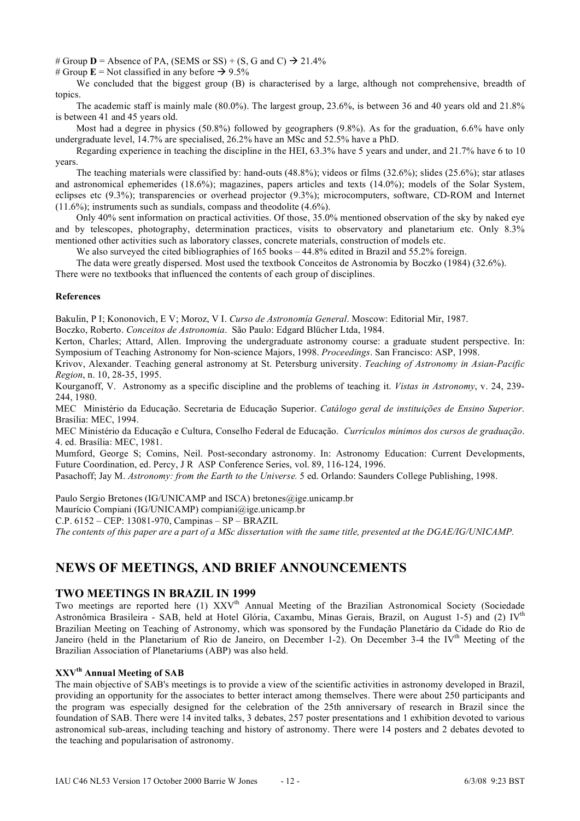# Group  $D =$  Absence of PA, (SEMS or SS) + (S, G and C)  $\rightarrow$  21.4%

# Group  $\mathbf{E} =$  Not classified in any before  $\rightarrow$  9.5%

We concluded that the biggest group (B) is characterised by a large, although not comprehensive, breadth of topics.

The academic staff is mainly male (80.0%). The largest group, 23.6%, is between 36 and 40 years old and 21.8% is between 41 and 45 years old.

Most had a degree in physics (50.8%) followed by geographers (9.8%). As for the graduation, 6.6% have only undergraduate level, 14.7% are specialised, 26.2% have an MSc and 52.5% have a PhD.

Regarding experience in teaching the discipline in the HEI, 63.3% have 5 years and under, and 21.7% have 6 to 10 years.

The teaching materials were classified by: hand-outs (48.8%); videos or films (32.6%); slides (25.6%); star atlases and astronomical ephemerides (18.6%); magazines, papers articles and texts (14.0%); models of the Solar System, eclipses etc (9.3%); transparencies or overhead projector (9.3%); microcomputers, software, CD-ROM and Internet (11.6%); instruments such as sundials, compass and theodolite (4.6%).

Only 40% sent information on practical activities. Of those, 35.0% mentioned observation of the sky by naked eye and by telescopes, photography, determination practices, visits to observatory and planetarium etc. Only 8.3% mentioned other activities such as laboratory classes, concrete materials, construction of models etc.

We also surveyed the cited bibliographies of 165 books – 44.8% edited in Brazil and 55.2% foreign.

The data were greatly dispersed. Most used the textbook Conceitos de Astronomia by Boczko (1984) (32.6%).

There were no textbooks that influenced the contents of each group of disciplines.

#### **References**

Bakulin, P I; Kononovich, E V; Moroz, V I. *Curso de Astronomía General*. Moscow: Editorial Mir, 1987.

Boczko, Roberto. *Conceitos de Astronomia*. São Paulo: Edgard Blücher Ltda, 1984.

Kerton, Charles; Attard, Allen. Improving the undergraduate astronomy course: a graduate student perspective. In: Symposium of Teaching Astronomy for Non-science Majors, 1998. *Proceedings*. San Francisco: ASP, 1998.

Krivov, Alexander. Teaching general astronomy at St. Petersburg university. *Teaching of Astronomy in Asian-Pacific Region*, n. 10, 28-35, 1995.

Kourganoff, V. Astronomy as a specific discipline and the problems of teaching it. *Vistas in Astronomy*, v. 24, 239- 244, 1980.

MEC Ministério da Educação. Secretaria de Educação Superior. *Catálogo geral de instituições de Ensino Superior*. Brasília: MEC, 1994.

MEC Ministério da Educação e Cultura, Conselho Federal de Educação. *Currículos mínimos dos cursos de graduação*. 4. ed. Brasília: MEC, 1981.

Mumford, George S; Comins, Neil. Post-secondary astronomy. In: Astronomy Education: Current Developments, Future Coordination, ed. Percy, J R ASP Conference Series, vol. 89, 116-124, 1996.

Pasachoff; Jay M. *Astronomy: from the Earth to the Universe.* 5 ed. Orlando: Saunders College Publishing, 1998.

Paulo Sergio Bretones (IG/UNICAMP and ISCA) bretones@ige.unicamp.br Maurício Compiani (IG/UNICAMP) compiani@ige.unicamp.br

C.P. 6152 – CEP: 13081-970, Campinas – SP – BRAZIL

*The contents of this paper are a part of a MSc dissertation with the same title, presented at the DGAE/IG/UNICAMP.*

# **NEWS OF MEETINGS, AND BRIEF ANNOUNCEMENTS**

### **TWO MEETINGS IN BRAZIL IN 1999**

Two meetings are reported here (1) XXV<sup>th</sup> Annual Meeting of the Brazilian Astronomical Society (Sociedade Astronômica Brasileira - SAB, held at Hotel Glória, Caxambu, Minas Gerais, Brazil, on August 1-5) and (2) IVth Brazilian Meeting on Teaching of Astronomy, which was sponsored by the Fundação Planetário da Cidade do Rio de Janeiro (held in the Planetarium of Rio de Janeiro, on December 1-2). On December 3-4 the IV<sup>th</sup> Meeting of the Brazilian Association of Planetariums (ABP) was also held.

# **XXVth Annual Meeting of SAB**

The main objective of SAB's meetings is to provide a view of the scientific activities in astronomy developed in Brazil, providing an opportunity for the associates to better interact among themselves. There were about 250 participants and the program was especially designed for the celebration of the 25th anniversary of research in Brazil since the foundation of SAB. There were 14 invited talks, 3 debates, 257 poster presentations and 1 exhibition devoted to various astronomical sub-areas, including teaching and history of astronomy. There were 14 posters and 2 debates devoted to the teaching and popularisation of astronomy.